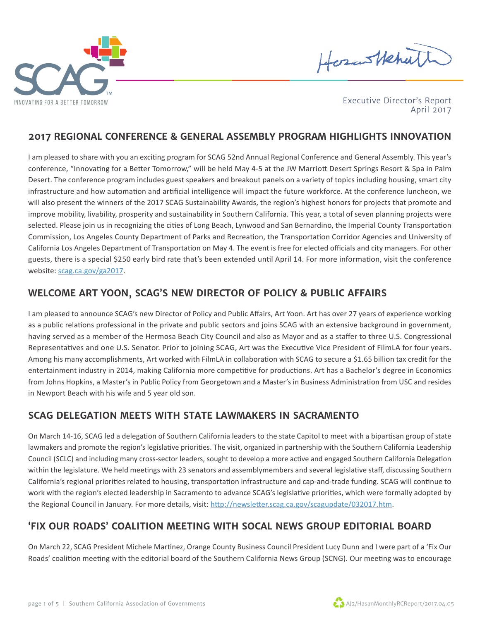

HosasHehutt

Executive Director's Report April 2017

#### **2017 REGIONAL CONFERENCE & GENERAL ASSEMBLY PROGRAM HIGHLIGHTS INNOVATION**

I am pleased to share with you an exciting program for SCAG 52nd Annual Regional Conference and General Assembly. This year's conference, "Innovating for a Better Tomorrow," will be held May 4-5 at the JW Marriott Desert Springs Resort & Spa in Palm Desert. The conference program includes guest speakers and breakout panels on a variety of topics including housing, smart city infrastructure and how automation and artificial intelligence will impact the future workforce. At the conference luncheon, we will also present the winners of the 2017 SCAG Sustainability Awards, the region's highest honors for projects that promote and improve mobility, livability, prosperity and sustainability in Southern California. This year, a total of seven planning projects were selected. Please join us in recognizing the cities of Long Beach, Lynwood and San Bernardino, the Imperial County Transportation Commission, Los Angeles County Department of Parks and Recreation, the Transportation Corridor Agencies and University of California Los Angeles Department of Transportation on May 4. The event is free for elected officials and city managers. For other guests, there is a special \$250 early bird rate that's been extended until April 14. For more information, visit the conference website: [scag.ca.gov/ga2017](http://scag.ca.gov/ga2017).

#### **WELCOME ART YOON, SCAG'S NEW DIRECTOR OF POLICY & PUBLIC AFFAIRS**

I am pleased to announce SCAG's new Director of Policy and Public Affairs, Art Yoon. Art has over 27 years of experience working as a public relations professional in the private and public sectors and joins SCAG with an extensive background in government, having served as a member of the Hermosa Beach City Council and also as Mayor and as a staffer to three U.S. Congressional Representatives and one U.S. Senator. Prior to joining SCAG, Art was the Executive Vice President of FilmLA for four years. Among his many accomplishments, Art worked with FilmLA in collaboration with SCAG to secure a \$1.65 billion tax credit for the entertainment industry in 2014, making California more competitive for productions. Art has a Bachelor's degree in Economics from Johns Hopkins, a Master's in Public Policy from Georgetown and a Master's in Business Administration from USC and resides in Newport Beach with his wife and 5 year old son.

### **SCAG DELEGATION MEETS WITH STATE LAWMAKERS IN SACRAMENTO**

On March 14-16, SCAG led a delegation of Southern California leaders to the state Capitol to meet with a bipartisan group of state lawmakers and promote the region's legislative priorities. The visit, organized in partnership with the Southern California Leadership Council (SCLC) and including many cross-sector leaders, sought to develop a more active and engaged Southern California Delegation within the legislature. We held meetings with 23 senators and assemblymembers and several legislative staff, discussing Southern California's regional priorities related to housing, transportation infrastructure and cap-and-trade funding. SCAG will continue to work with the region's elected leadership in Sacramento to advance SCAG's legislative priorities, which were formally adopted by the Regional Council in January. For more details, visit: http://newsletter.scag.ca.gov/scagupdate/032017.htm.

# **'FIX OUR ROADS' COALITION MEETING WITH SOCAL NEWS GROUP EDITORIAL BOARD**

On March 22, SCAG President Michele Martinez, Orange County Business Council President Lucy Dunn and I were part of a 'Fix Our Roads' coalition meeting with the editorial board of the Southern California News Group (SCNG). Our meeting was to encourage

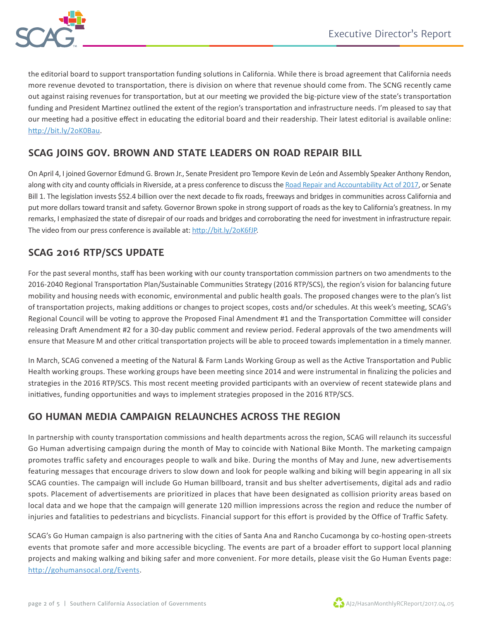

the editorial board to support transportation funding solutions in California. While there is broad agreement that California needs more revenue devoted to transportation, there is division on where that revenue should come from. The SCNG recently came out against raising revenues for transportation, but at our meeting we provided the big-picture view of the state's transportation funding and President Martinez outlined the extent of the region's transportation and infrastructure needs. I'm pleased to say that our meeting had a positive effect in educating the editorial board and their readership. Their latest editorial is available online: http://bit.ly/2oK0Bau.

### **SCAG JOINS GOV. BROWN AND STATE LEADERS ON ROAD REPAIR BILL**

On April 4, I joined Governor Edmund G. Brown Jr., Senate President pro Tempore Kevin de León and Assembly Speaker Anthony Rendon, along with city and county officials in Riverside, at a press conference to discuss the [Road Repair and Accountability Act of 2017,](https://www.gov.ca.gov/news.php?id=19728) or Senate Bill 1. The legislation invests \$52.4 billion over the next decade to fix roads, freeways and bridges in communities across California and put more dollars toward transit and safety. Governor Brown spoke in strong support of roads as the key to California's greatness. In my remarks, I emphasized the state of disrepair of our roads and bridges and corroborating the need for investment in infrastructure repair. The video from our press conference is available at: http://bit.ly/2oK6fJP.

## **SCAG 2016 RTP/SCS UPDATE**

For the past several months, staff has been working with our county transportation commission partners on two amendments to the 2016-2040 Regional Transportation Plan/Sustainable Communities Strategy (2016 RTP/SCS), the region's vision for balancing future mobility and housing needs with economic, environmental and public health goals. The proposed changes were to the plan's list of transportation projects, making additions or changes to project scopes, costs and/or schedules. At this week's meeting, SCAG's Regional Council will be voting to approve the Proposed Final Amendment #1 and the Transportation Committee will consider releasing Draft Amendment #2 for a 30-day public comment and review period. Federal approvals of the two amendments will ensure that Measure M and other critical transportation projects will be able to proceed towards implementation in a timely manner.

In March, SCAG convened a meeting of the Natural & Farm Lands Working Group as well as the Active Transportation and Public Health working groups. These working groups have been meeting since 2014 and were instrumental in finalizing the policies and strategies in the 2016 RTP/SCS. This most recent meeting provided participants with an overview of recent statewide plans and initiatives, funding opportunities and ways to implement strategies proposed in the 2016 RTP/SCS.

## **GO HUMAN MEDIA CAMPAIGN RELAUNCHES ACROSS THE REGION**

In partnership with county transportation commissions and health departments across the region, SCAG will relaunch its successful Go Human advertising campaign during the month of May to coincide with National Bike Month. The marketing campaign promotes traffic safety and encourages people to walk and bike. During the months of May and June, new advertisements featuring messages that encourage drivers to slow down and look for people walking and biking will begin appearing in all six SCAG counties. The campaign will include Go Human billboard, transit and bus shelter advertisements, digital ads and radio spots. Placement of advertisements are prioritized in places that have been designated as collision priority areas based on local data and we hope that the campaign will generate 120 million impressions across the region and reduce the number of injuries and fatalities to pedestrians and bicyclists. Financial support for this effort is provided by the Office of Traffic Safety.

SCAG's Go Human campaign is also partnering with the cities of Santa Ana and Rancho Cucamonga by co-hosting open-streets events that promote safer and more accessible bicycling. The events are part of a broader effort to support local planning projects and making walking and biking safer and more convenient. For more details, please visit the Go Human Events page: http://gohumansocal.org/Events.

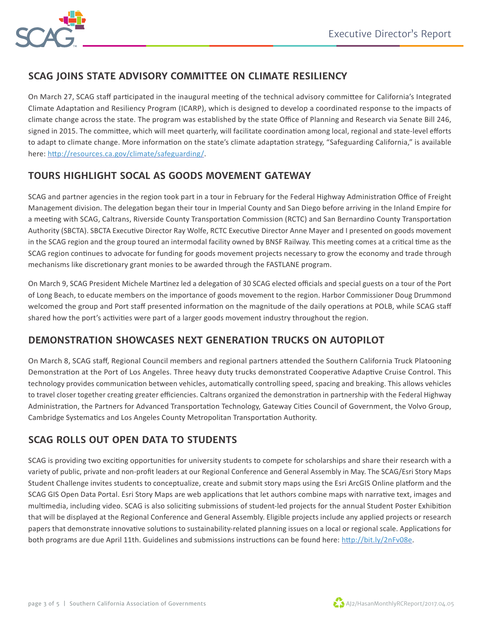

# **SCAG JOINS STATE ADVISORY COMMITTEE ON CLIMATE RESILIENCY**

On March 27, SCAG staff participated in the inaugural meeting of the technical advisory committee for California's Integrated Climate Adaptation and Resiliency Program (ICARP), which is designed to develop a coordinated response to the impacts of climate change across the state. The program was established by the state Office of Planning and Research via Senate Bill 246, signed in 2015. The committee, which will meet quarterly, will facilitate coordination among local, regional and state-level efforts to adapt to climate change. More information on the state's climate adaptation strategy, "Safeguarding California," is available here: http://resources.ca.gov/climate/safeguarding/.

## **TOURS HIGHLIGHT SOCAL AS GOODS MOVEMENT GATEWAY**

SCAG and partner agencies in the region took part in a tour in February for the Federal Highway Administration Office of Freight Management division. The delegation began their tour in Imperial County and San Diego before arriving in the Inland Empire for a meeting with SCAG, Caltrans, Riverside County Transportation Commission (RCTC) and San Bernardino County Transportation Authority (SBCTA). SBCTA Executive Director Ray Wolfe, RCTC Executive Director Anne Mayer and I presented on goods movement in the SCAG region and the group toured an intermodal facility owned by BNSF Railway. This meeting comes at a critical time as the SCAG region continues to advocate for funding for goods movement projects necessary to grow the economy and trade through mechanisms like discretionary grant monies to be awarded through the FASTLANE program.

On March 9, SCAG President Michele Martinez led a delegation of 30 SCAG elected officials and special guests on a tour of the Port of Long Beach, to educate members on the importance of goods movement to the region. Harbor Commissioner Doug Drummond welcomed the group and Port staff presented information on the magnitude of the daily operations at POLB, while SCAG staff shared how the port's activities were part of a larger goods movement industry throughout the region.

### **DEMONSTRATION SHOWCASES NEXT GENERATION TRUCKS ON AUTOPILOT**

On March 8, SCAG staff, Regional Council members and regional partners attended the Southern California Truck Platooning Demonstration at the Port of Los Angeles. Three heavy duty trucks demonstrated Cooperative Adaptive Cruise Control. This technology provides communication between vehicles, automatically controlling speed, spacing and breaking. This allows vehicles to travel closer together creating greater efficiencies. Caltrans organized the demonstration in partnership with the Federal Highway Administration, the Partners for Advanced Transportation Technology, Gateway Cities Council of Government, the Volvo Group, Cambridge Systematics and Los Angeles County Metropolitan Transportation Authority.

## **SCAG ROLLS OUT OPEN DATA TO STUDENTS**

SCAG is providing two exciting opportunities for university students to compete for scholarships and share their research with a variety of public, private and non-profit leaders at our Regional Conference and General Assembly in May. The SCAG/Esri Story Maps Student Challenge invites students to conceptualize, create and submit story maps using the Esri ArcGIS Online platform and the SCAG GIS Open Data Portal. Esri Story Maps are web applications that let authors combine maps with narrative text, images and multimedia, including video. SCAG is also soliciting submissions of student-led projects for the annual Student Poster Exhibition that will be displayed at the Regional Conference and General Assembly. Eligible projects include any applied projects or research papers that demonstrate innovative solutions to sustainability-related planning issues on a local or regional scale. Applications for both programs are due April 11th. Guidelines and submissions instructions can be found here: http://bit.ly/2nFv08e.

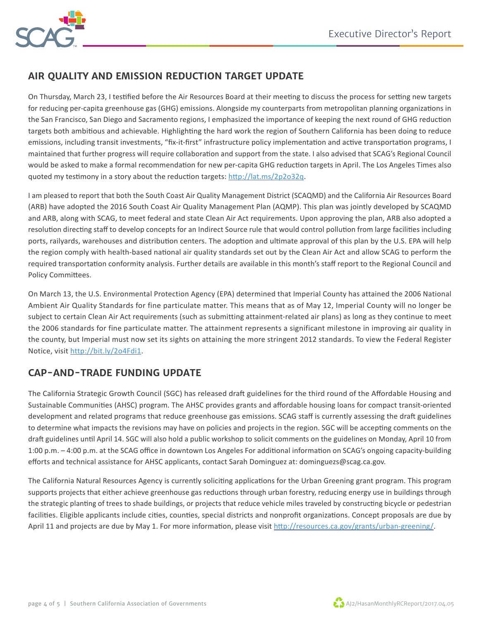

# **AIR QUALITY AND EMISSION REDUCTION TARGET UPDATE**

On Thursday, March 23, I testified before the Air Resources Board at their meeting to discuss the process for setting new targets for reducing per-capita greenhouse gas (GHG) emissions. Alongside my counterparts from metropolitan planning organizations in the San Francisco, San Diego and Sacramento regions, I emphasized the importance of keeping the next round of GHG reduction targets both ambitious and achievable. Highlighting the hard work the region of Southern California has been doing to reduce emissions, including transit investments, "fix-it-first" infrastructure policy implementation and active transportation programs, I maintained that further progress will require collaboration and support from the state. I also advised that SCAG's Regional Council would be asked to make a formal recommendation for new per-capita GHG reduction targets in April. The Los Angeles Times also quoted my testimony in a story about the reduction targets: http://lat.ms/2p2o32q.

I am pleased to report that both the South Coast Air Quality Management District (SCAQMD) and the California Air Resources Board (ARB) have adopted the 2016 South Coast Air Quality Management Plan (AQMP). This plan was jointly developed by SCAQMD and ARB, along with SCAG, to meet federal and state Clean Air Act requirements. Upon approving the plan, ARB also adopted a resolution directing staff to develop concepts for an Indirect Source rule that would control pollution from large facilities including ports, railyards, warehouses and distribution centers. The adoption and ultimate approval of this plan by the U.S. EPA will help the region comply with health-based national air quality standards set out by the Clean Air Act and allow SCAG to perform the required transportation conformity analysis. Further details are available in this month's staff report to the Regional Council and Policy Committees.

On March 13, the U.S. Environmental Protection Agency (EPA) determined that Imperial County has attained the 2006 National Ambient Air Quality Standards for fine particulate matter. This means that as of May 12, Imperial County will no longer be subject to certain Clean Air Act requirements (such as submitting attainment-related air plans) as long as they continue to meet the 2006 standards for fine particulate matter. The attainment represents a significant milestone in improving air quality in the county, but Imperial must now set its sights on attaining the more stringent 2012 standards. To view the Federal Register Notice, visit http://bit.ly/2o4Fdi1.

## **CAP-AND-TRADE FUNDING UPDATE**

The California Strategic Growth Council (SGC) has released draft guidelines for the third round of the Affordable Housing and Sustainable Communities (AHSC) program. The AHSC provides grants and affordable housing loans for compact transit-oriented development and related programs that reduce greenhouse gas emissions. SCAG staff is currently assessing the draft guidelines to determine what impacts the revisions may have on policies and projects in the region. SGC will be accepting comments on the draft guidelines until April 14. SGC will also hold a public workshop to solicit comments on the guidelines on Monday, April 10 from 1:00 p.m. – 4:00 p.m. at the SCAG office in downtown Los Angeles For additional information on SCAG's ongoing capacity-building efforts and technical assistance for AHSC applicants, contact Sarah Dominguez at: dominguezs@scag.ca.gov.

The California Natural Resources Agency is currently soliciting applications for the Urban Greening grant program. This program supports projects that either achieve greenhouse gas reductions through urban forestry, reducing energy use in buildings through the strategic planting of trees to shade buildings, or projects that reduce vehicle miles traveled by constructing bicycle or pedestrian facilities. Eligible applicants include cities, counties, special districts and nonprofit organizations. Concept proposals are due by April 11 and projects are due by May 1. For more information, please visit http://resources.ca.gov/grants/urban-greening/.